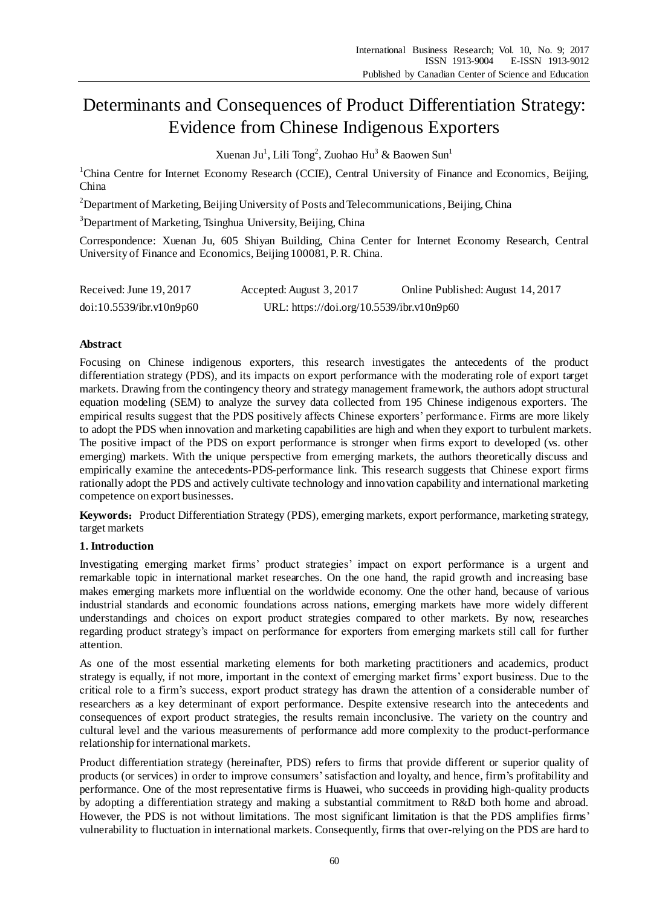# Determinants and Consequences of Product Differentiation Strategy: Evidence from Chinese Indigenous Exporters

Xuenan Ju<sup>1</sup>, Lili Tong<sup>2</sup>, Zuohao Hu<sup>3</sup> & Baowen Sun<sup>1</sup>

<sup>1</sup>China Centre for Internet Economy Research (CCIE), Central University of Finance and Economics, Beijing, China

<sup>2</sup>Department of Marketing, Beijing University of Posts and Telecommunications, Beijing, China

<sup>3</sup>Department of Marketing, Tsinghua University, Beijing, China

Correspondence: Xuenan Ju, 605 Shiyan Building, China Center for Internet Economy Research, Central University of Finance and Economics, Beijing 100081, P. R. China.

| Received: June 19, 2017  | Accepted: August 3, 2017                  | Online Published: August 14, 2017 |
|--------------------------|-------------------------------------------|-----------------------------------|
| doi:10.5539/ibr.v10n9p60 | URL: https://doi.org/10.5539/ibr.v10n9p60 |                                   |

# **Abstract**

Focusing on Chinese indigenous exporters, this research investigates the antecedents of the product differentiation strategy (PDS), and its impacts on export performance with the moderating role of export target markets. Drawing from the contingency theory and strategy management framework, the authors adopt structural equation modeling (SEM) to analyze the survey data collected from 195 Chinese indigenous exporters. The empirical results suggest that the PDS positively affects Chinese exporters' performance. Firms are more likely to adopt the PDS when innovation and marketing capabilities are high and when they export to turbulent markets. The positive impact of the PDS on export performance is stronger when firms export to developed (vs. other emerging) markets. With the unique perspective from emerging markets, the authors theoretically discuss and empirically examine the antecedents-PDS-performance link. This research suggests that Chinese export firms rationally adopt the PDS and actively cultivate technology and innovation capability and international marketing competence on export businesses.

**Keywords:** Product Differentiation Strategy (PDS), emerging markets, export performance, marketing strategy, target markets

## **1. Introduction**

Investigating emerging market firms' product strategies' impact on export performance is a urgent and remarkable topic in international market researches. On the one hand, the rapid growth and increasing base makes emerging markets more influential on the worldwide economy. One the other hand, because of various industrial standards and economic foundations across nations, emerging markets have more widely different understandings and choices on export product strategies compared to other markets. By now, researches regarding product strategy's impact on performance for exporters from emerging markets still call for further attention.

As one of the most essential marketing elements for both marketing practitioners and academics, product strategy is equally, if not more, important in the context of emerging market firms' export business. Due to the critical role to a firm's success, export product strategy has drawn the attention of a considerable number of researchers as a key determinant of export performance. Despite extensive research into the antecedents and consequences of export product strategies, the results remain inconclusive. The variety on the country and cultural level and the various measurements of performance add more complexity to the product-performance relationship for international markets.

Product differentiation strategy (hereinafter, PDS) refers to firms that provide different or superior quality of products (or services) in order to improve consumers'satisfaction and loyalty, and hence, firm's profitability and performance. One of the most representative firms is Huawei, who succeeds in providing high-quality products by adopting a differentiation strategy and making a substantial commitment to R&D both home and abroad. However, the PDS is not without limitations. The most significant limitation is that the PDS amplifies firms' vulnerability to fluctuation in international markets. Consequently, firms that over-relying on the PDS are hard to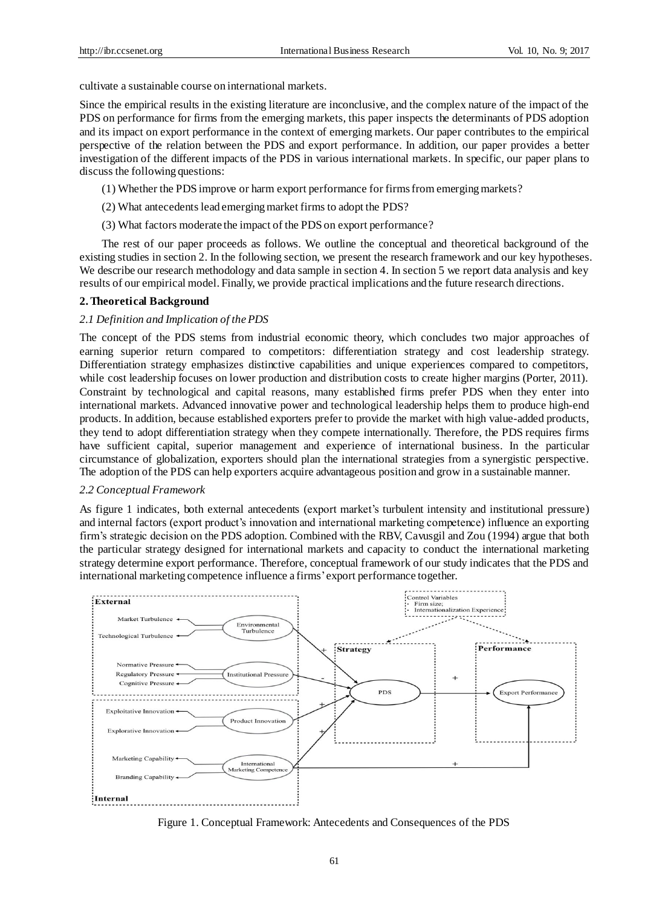cultivate a sustainable course on international markets.

Since the empirical results in the existing literature are inconclusive, and the complex nature of the impact of the PDS on performance for firms from the emerging markets, this paper inspects the determinants of PDS adoption and its impact on export performance in the context of emerging markets. Our paper contributes to the empirical perspective of the relation between the PDS and export performance. In addition, our paper provides a better investigation of the different impacts of the PDS in various international markets. In specific, our paper plans to discuss the following questions:

- (1) Whether the PDS improve or harm export performance for firms from emerging markets?
- (2) What antecedents lead emerging market firms to adopt the PDS?
- (3) What factors moderate the impact of the PDS on export performance?

The rest of our paper proceeds as follows. We outline the conceptual and theoretical background of the existing studies in section 2. In the following section, we present the research framework and our key hypotheses. We describe our research methodology and data sample in section 4. In section 5 we report data analysis and key results of our empirical model. Finally, we provide practical implications and the future research directions.

## **2. Theoretical Background**

### *2.1 Definition and Implication of the PDS*

The concept of the PDS stems from industrial economic theory, which concludes two major approaches of earning superior return compared to competitors: differentiation strategy and cost leadership strategy. Differentiation strategy emphasizes distinctive capabilities and unique experiences compared to competitors, while cost leadership focuses on lower production and distribution costs to create higher margins (Porter, 2011). Constraint by technological and capital reasons, many established firms prefer PDS when they enter into international markets. Advanced innovative power and technological leadership helps them to produce high-end products. In addition, because established exporters prefer to provide the market with high value-added products, they tend to adopt differentiation strategy when they compete internationally. Therefore, the PDS requires firms have sufficient capital, superior management and experience of international business. In the particular circumstance of globalization, exporters should plan the international strategies from a synergistic perspective. The adoption of the PDS can help exporters acquire advantageous position and grow in a sustainable manner.

#### *2.2 Conceptual Framework*

As figure 1 indicates, both external antecedents (export market's turbulent intensity and institutional pressure) and internal factors (export product's innovation and international marketing competence) influence an exporting firm's strategic decision on the PDS adoption. Combined with the RBV, Cavusgil and Zou (1994) argue that both the particular strategy designed for international markets and capacity to conduct the international marketing strategy determine export performance. Therefore, conceptual framework of our study indicates that the PDS and international marketing competence influence a firms'export performance together.



Figure 1. Conceptual Framework: Antecedents and Consequences of the PDS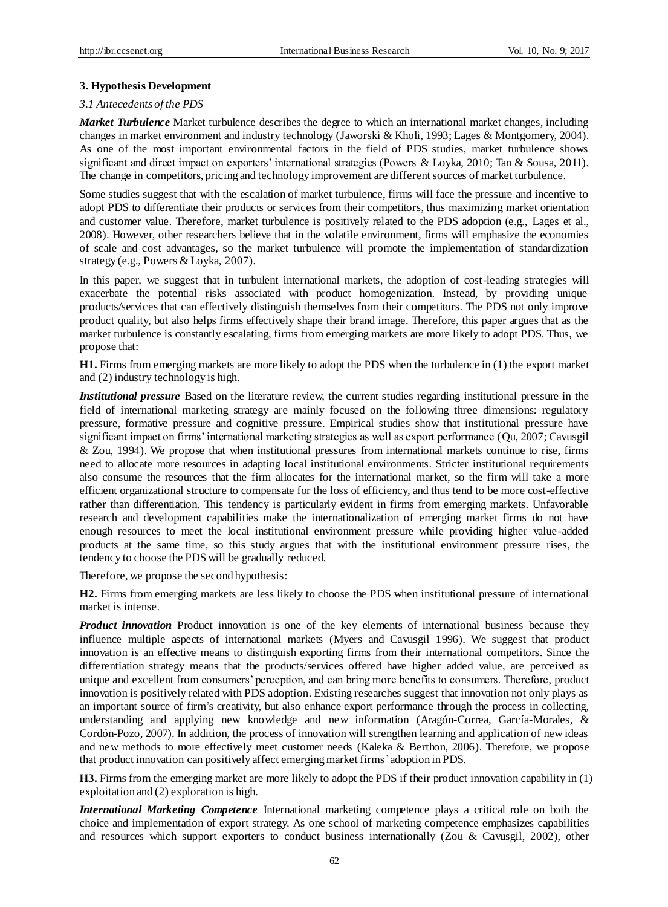## **3. Hypothesis Development**

## *3.1 Antecedents of the PDS*

*Market Turbulence* Market turbulence describes the degree to which an international market changes, including changes in market environment and industry technology (Jaworski & Kholi, 1993; Lages & Montgomery, 2004). As one of the most important environmental factors in the field of PDS studies, market turbulence shows significant and direct impact on exporters' international strategies (Powers & Loyka, 2010; Tan & Sousa, 2011). The change in competitors, pricing and technology improvement are different sources of market turbulence.

Some studies suggest that with the escalation of market turbulence, firms will face the pressure and incentive to adopt PDS to differentiate their products or services from their competitors, thus maximizing market orientation and customer value. Therefore, market turbulence is positively related to the PDS adoption (e.g., Lages et al., 2008). However, other researchers believe that in the volatile environment, firms will emphasize the economies of scale and cost advantages, so the market turbulence will promote the implementation of standardization strategy (e.g., Powers & Loyka, 2007).

In this paper, we suggest that in turbulent international markets, the adoption of cost-leading strategies will exacerbate the potential risks associated with product homogenization. Instead, by providing unique products/services that can effectively distinguish themselves from their competitors. The PDS not only improve product quality, but also helps firms effectively shape their brand image. Therefore, this paper argues that as the market turbulence is constantly escalating, firms from emerging markets are more likely to adopt PDS. Thus, we propose that:

**H1.** Firms from emerging markets are more likely to adopt the PDS when the turbulence in (1) the export market and (2) industry technology is high.

*Institutional pressure* Based on the literature review, the current studies regarding institutional pressure in the field of international marketing strategy are mainly focused on the following three dimensions: regulatory pressure, formative pressure and cognitive pressure. Empirical studies show that institutional pressure have significant impact on firms' international marketing strategies as well as export performance (Qu, 2007; Cavusgil & Zou, 1994). We propose that when institutional pressures from international markets continue to rise, firms need to allocate more resources in adapting local institutional environments. Stricter institutional requirements also consume the resources that the firm allocates for the international market, so the firm will take a more efficient organizational structure to compensate for the loss of efficiency, and thus tend to be more cost-effective rather than differentiation. This tendency is particularly evident in firms from emerging markets. Unfavorable research and development capabilities make the internationalization of emerging market firms do not have enough resources to meet the local institutional environment pressure while providing higher value-added products at the same time, so this study argues that with the institutional environment pressure rises, the tendency to choose the PDS will be gradually reduced.

Therefore, we propose the second hypothesis:

**H2.** Firms from emerging markets are less likely to choose the PDS when institutional pressure of international market is intense.

*Product innovation* Product innovation is one of the key elements of international business because they influence multiple aspects of international markets (Myers and Cavusgil 1996). We suggest that product innovation is an effective means to distinguish exporting firms from their international competitors. Since the differentiation strategy means that the products/services offered have higher added value, are perceived as unique and excellent from consumers' perception, and can bring more benefits to consumers. Therefore, product innovation is positively related with PDS adoption. Existing researches suggest that innovation not only plays as an important source of firm's creativity, but also enhance export performance through the process in collecting, understanding and applying new knowledge and new information (Aragón-Correa, García-Morales, & Cordón-Pozo, 2007). In addition, the process of innovation will strengthen learning and application of new ideas and new methods to more effectively meet customer needs (Kaleka & Berthon, 2006). Therefore, we propose that product innovation can positively affect emerging market firms'adoption in PDS.

**H3.** Firms from the emerging market are more likely to adopt the PDS if their product innovation capability in (1) exploitation and (2) exploration is high.

*International Marketing Competence* International marketing competence plays a critical role on both the choice and implementation of export strategy. As one school of marketing competence emphasizes capabilities and resources which support exporters to conduct business internationally (Zou & Cavusgil, 2002), other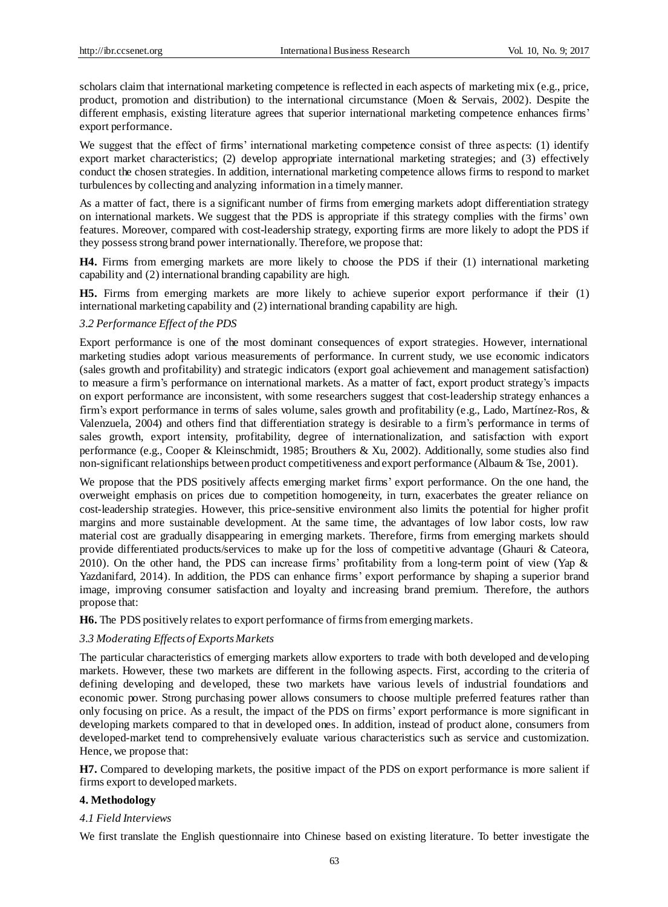scholars claim that international marketing competence is reflected in each aspects of marketing mix (e.g., price, product, promotion and distribution) to the international circumstance (Moen & Servais, 2002). Despite the different emphasis, existing literature agrees that superior international marketing competence enhances firms' export performance.

We suggest that the effect of firms' international marketing competence consist of three aspects: (1) identify export market characteristics; (2) develop appropriate international marketing strategies; and (3) effectively conduct the chosen strategies. In addition, international marketing competence allows firms to respond to market turbulences by collecting and analyzing information in a timely manner.

As a matter of fact, there is a significant number of firms from emerging markets adopt differentiation strategy on international markets. We suggest that the PDS is appropriate if this strategy complies with the firms' own features. Moreover, compared with cost-leadership strategy, exporting firms are more likely to adopt the PDS if they possess strong brand power internationally. Therefore, we propose that:

**H4.** Firms from emerging markets are more likely to choose the PDS if their (1) international marketing capability and (2) international branding capability are high.

**H5.** Firms from emerging markets are more likely to achieve superior export performance if their (1) international marketing capability and (2) international branding capability are high.

## *3.2 Performance Effect of the PDS*

Export performance is one of the most dominant consequences of export strategies. However, international marketing studies adopt various measurements of performance. In current study, we use economic indicators (sales growth and profitability) and strategic indicators (export goal achievement and management satisfaction) to measure a firm's performance on international markets. As a matter of fact, export product strategy's impacts on export performance are inconsistent, with some researchers suggest that cost-leadership strategy enhances a firm's export performance in terms of sales volume, sales growth and profitability (e.g., Lado, Mart nez-Ros,  $\&$ Valenzuela, 2004) and others find that differentiation strategy is desirable to a firm's performance in terms of sales growth, export intensity, profitability, degree of internationalization, and satisfaction with export performance (e.g., Cooper & Kleinschmidt, 1985; Brouthers & Xu, 2002). Additionally, some studies also find non-significant relationships between product competitiveness and export performance (Albaum & Tse, 2001).

We propose that the PDS positively affects emerging market firms' export performance. On the one hand, the overweight emphasis on prices due to competition homogeneity, in turn, exacerbates the greater reliance on cost-leadership strategies. However, this price-sensitive environment also limits the potential for higher profit margins and more sustainable development. At the same time, the advantages of low labor costs, low raw material cost are gradually disappearing in emerging markets. Therefore, firms from emerging markets should provide differentiated products/services to make up for the loss of competitive advantage (Ghauri & Cateora, 2010). On the other hand, the PDS can increase firms' profitability from a long-term point of view (Yap & Yazdanifard, 2014). In addition, the PDS can enhance firms' export performance by shaping a superior brand image, improving consumer satisfaction and loyalty and increasing brand premium. Therefore, the authors propose that:

**H6.** The PDS positively relates to export performance of firms from emerging markets.

## *3.3 Moderating Effects of Exports Markets*

The particular characteristics of emerging markets allow exporters to trade with both developed and developing markets. However, these two markets are different in the following aspects. First, according to the criteria of defining developing and developed, these two markets have various levels of industrial foundations and economic power. Strong purchasing power allows consumers to choose multiple preferred features rather than only focusing on price. As a result, the impact of the PDS on firms' export performance is more significant in developing markets compared to that in developed ones. In addition, instead of product alone, consumers from developed-market tend to comprehensively evaluate various characteristics such as service and customization. Hence, we propose that:

**H7.** Compared to developing markets, the positive impact of the PDS on export performance is more salient if firms export to developed markets.

## **4. Methodology**

## *4.1 Field Interviews*

We first translate the English questionnaire into Chinese based on existing literature. To better investigate the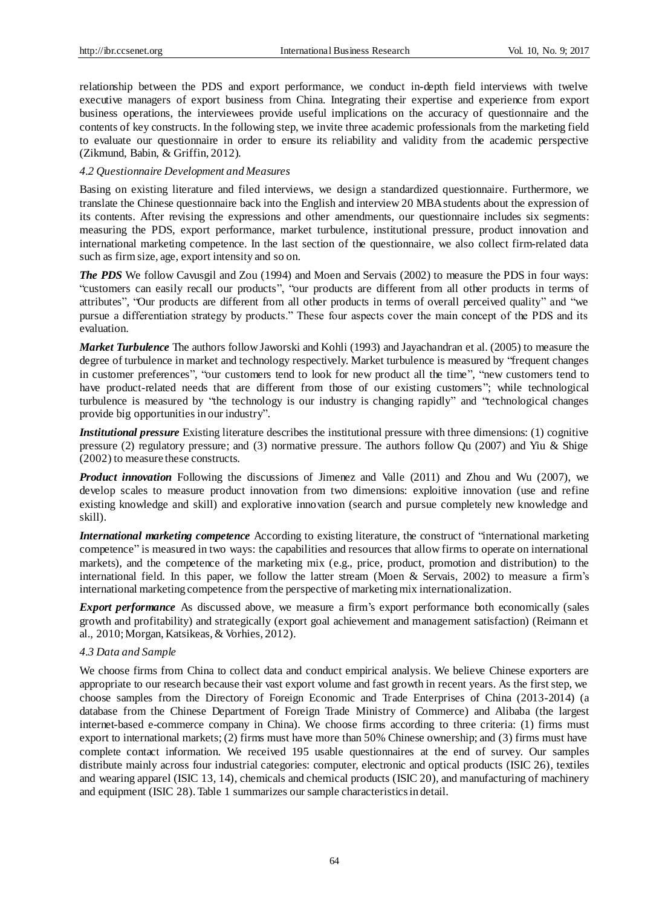relationship between the PDS and export performance, we conduct in-depth field interviews with twelve executive managers of export business from China. Integrating their expertise and experience from export business operations, the interviewees provide useful implications on the accuracy of questionnaire and the contents of key constructs. In the following step, we invite three academic professionals from the marketing field to evaluate our questionnaire in order to ensure its reliability and validity from the academic perspective (Zikmund, Babin, & Griffin, 2012).

## *4.2 Questionnaire Development and Measures*

Basing on existing literature and filed interviews, we design a standardized questionnaire. Furthermore, we translate the Chinese questionnaire back into the English and interview 20 MBA students about the expression of its contents. After revising the expressions and other amendments, our questionnaire includes six segments: measuring the PDS, export performance, market turbulence, institutional pressure, product innovation and international marketing competence. In the last section of the questionnaire, we also collect firm-related data such as firm size, age, export intensity and so on.

*The PDS* We follow Cavusgil and Zou (1994) and Moen and Servais (2002) to measure the PDS in four ways: "customers can easily recall our products", "our products are different from all other products in terms of attributes", "Our products are different from all other products in terms of overall perceived quality" and "we pursue a differentiation strategy by products." These four aspects cover the main concept of the PDS and its evaluation.

*Market Turbulence* The authors follow Jaworski and Kohli (1993) and Jayachandran et al. (2005) to measure the degree of turbulence in market and technology respectively. Market turbulence is measured by "frequent changes in customer preferences", "our customers tend to look for new product all the time", "new customers tend to have product-related needs that are different from those of our existing customers"; while technological turbulence is measured by "the technology is our industry is changing rapidly" and "technological changes provide big opportunities in our industry".

*Institutional pressure* Existing literature describes the institutional pressure with three dimensions: (1) cognitive pressure (2) regulatory pressure; and (3) normative pressure. The authors follow Qu (2007) and Yiu & Shige (2002) to measure these constructs.

*Product innovation* Following the discussions of Jimenez and Valle (2011) and Zhou and Wu (2007), we develop scales to measure product innovation from two dimensions: exploitive innovation (use and refine existing knowledge and skill) and explorative innovation (search and pursue completely new knowledge and skill).

*International marketing competence* According to existing literature, the construct of "international marketing competence" is measured in two ways: the capabilities and resources that allow firms to operate on international markets), and the competence of the marketing mix (e.g., price, product, promotion and distribution) to the international field. In this paper, we follow the latter stream (Moen & Servais, 2002) to measure a firm's international marketing competence from the perspective of marketing mix internationalization.

*Export performance* As discussed above, we measure a firm's export performance both economically (sales growth and profitability) and strategically (export goal achievement and management satisfaction) (Reimann et al., 2010; Morgan, Katsikeas, & Vorhies, 2012).

#### *4.3 Data and Sample*

We choose firms from China to collect data and conduct empirical analysis. We believe Chinese exporters are appropriate to our research because their vast export volume and fast growth in recent years. As the first step, we choose samples from the Directory of Foreign Economic and Trade Enterprises of China (2013-2014) (a database from the Chinese Department of Foreign Trade Ministry of Commerce) and Alibaba (the largest internet-based e-commerce company in China). We choose firms according to three criteria: (1) firms must export to international markets; (2) firms must have more than 50% Chinese ownership; and (3) firms must have complete contact information. We received 195 usable questionnaires at the end of survey. Our samples distribute mainly across four industrial categories: computer, electronic and optical products (ISIC 26), textiles and wearing apparel (ISIC 13, 14), chemicals and chemical products (ISIC 20), and manufacturing of machinery and equipment (ISIC 28). Table 1 summarizes our sample characteristics in detail.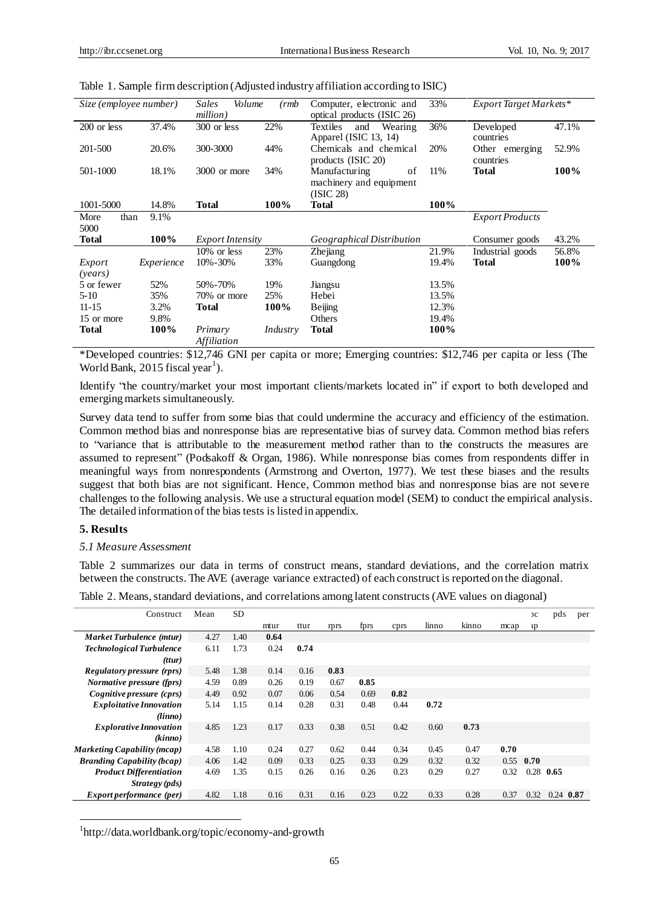| Size (employee number) |            | Volume<br><b>Sales</b><br>(rmb)<br>million) |          | Computer, electronic and<br>optical products (ISIC 26) | 33%   | Export Target Markets*      |       |
|------------------------|------------|---------------------------------------------|----------|--------------------------------------------------------|-------|-----------------------------|-------|
| 200 or less            | 37.4%      | 300 or less                                 | 22%      | Textiles<br>Wearing<br>and<br>Apparel (ISIC 13, 14)    | 36%   | Developed<br>countries      | 47.1% |
| 201-500                | 20.6%      | 300-3000                                    | 44%      | Chemicals and chemical<br>products (ISIC 20)           | 20%   | Other emerging<br>countries | 52.9% |
| 501-1000               | 18.1%      | 3000 or more                                | 34%      | Manufacturing<br>of                                    | 11%   | <b>Total</b>                | 100%  |
|                        |            |                                             |          | machinery and equipment<br>(ISIC 28)                   |       |                             |       |
| 1001-5000              | 14.8%      | <b>Total</b>                                | 100%     | <b>Total</b>                                           | 100%  |                             |       |
| More<br>than           | 9.1%       |                                             |          |                                                        |       | <b>Export Products</b>      |       |
| 5000                   |            |                                             |          |                                                        |       |                             |       |
| Total                  | 100%       | <i>Export Intensity</i>                     |          | Geographical Distribution                              |       | Consumer goods              | 43.2% |
|                        |            | 10% or less                                 | 23%      | Zhejiang                                               | 21.9% | Industrial goods            | 56.8% |
| Export                 | Experience | 10%-30%                                     | 33%      | Guangdong                                              | 19.4% | Total                       | 100%  |
| ( <i>years</i> )       |            |                                             |          |                                                        |       |                             |       |
| 5 or fewer             | 52%        | 50%-70%                                     | 19%      | Jiangsu                                                | 13.5% |                             |       |
| $5-10$                 | 35%        | 70% or more                                 | 25%      | Hebei                                                  | 13.5% |                             |       |
| $11 - 15$              | 3.2%       | Total                                       | 100%     | Beijing                                                | 12.3% |                             |       |
| 15 or more             | 9.8%       |                                             |          | Others                                                 | 19.4% |                             |       |
| <b>Total</b>           | 100%       | Primary<br>Affiliation                      | Industry | <b>Total</b>                                           | 100%  |                             |       |

|  | Table 1. Sample firm description (Adjusted industry affiliation according to ISIC) |  |
|--|------------------------------------------------------------------------------------|--|
|  |                                                                                    |  |

\*Developed countries: \$12,746 GNI per capita or more; Emerging countries: \$12,746 per capita or less (The World Bank, 2015 fiscal year<sup>1</sup>).

Identify "the country/market your most important clients/markets located in" if export to both developed and emerging markets simultaneously.

Survey data tend to suffer from some bias that could undermine the accuracy and efficiency of the estimation. Common method bias and nonresponse bias are representative bias of survey data. Common method bias refers to "variance that is attributable to the measurement method rather than to the constructs the measures are assumed to represent" (Podsakoff & Organ, 1986). While nonresponse bias comes from respondents differ in meaningful ways from nonrespondents (Armstrong and Overton, 1977). We test these biases and the results suggest that both bias are not significant. Hence, Common method bias and nonresponse bias are not severe challenges to the following analysis. We use a structural equation model (SEM) to conduct the empirical analysis. The detailed information of the bias tests is listed in appendix.

## **5. Results**

1

#### *5.1 Measure Assessment*

Table 2 summarizes our data in terms of construct means, standard deviations, and the correlation matrix between the constructs. The AVE (average variance extracted) of each construct is reported on the diagonal.

| Construct                            | Mean | <b>SD</b> |      |      |      |      |      |       |       |      | $_{\rm ^{3}C}$ | pds         | per |
|--------------------------------------|------|-----------|------|------|------|------|------|-------|-------|------|----------------|-------------|-----|
|                                      |      |           | mtur | ttur | rprs | fprs | cprs | linno | kinno | mcap | <sub>1</sub> p |             |     |
| Market Turbulence (mtur)             | 4.27 | 1.40      | 0.64 |      |      |      |      |       |       |      |                |             |     |
| <b>Technological Turbulence</b>      | 6.11 | 1.73      | 0.24 | 0.74 |      |      |      |       |       |      |                |             |     |
| (ttur)                               |      |           |      |      |      |      |      |       |       |      |                |             |     |
| <b>Regulatory pressure (rprs)</b>    | 5.48 | 1.38      | 0.14 | 0.16 | 0.83 |      |      |       |       |      |                |             |     |
| <i>Normative pressure (fprs)</i>     | 4.59 | 0.89      | 0.26 | 0.19 | 0.67 | 0.85 |      |       |       |      |                |             |     |
| Cognitive pressure (cprs)            | 4.49 | 0.92      | 0.07 | 0.06 | 0.54 | 0.69 | 0.82 |       |       |      |                |             |     |
| <b>Exploitative Innovation</b>       | 5.14 | 1.15      | 0.14 | 0.28 | 0.31 | 0.48 | 0.44 | 0.72  |       |      |                |             |     |
| (linno)                              |      |           |      |      |      |      |      |       |       |      |                |             |     |
| <i><b>Explorative Innovation</b></i> | 4.85 | 1.23      | 0.17 | 0.33 | 0.38 | 0.51 | 0.42 | 0.60  | 0.73  |      |                |             |     |
| (kinno)                              |      |           |      |      |      |      |      |       |       |      |                |             |     |
| <b>Marketing Capability (mcap)</b>   | 4.58 | 1.10      | 0.24 | 0.27 | 0.62 | 0.44 | 0.34 | 0.45  | 0.47  | 0.70 |                |             |     |
| <b>Branding Capability (bcap)</b>    | 4.06 | 1.42      | 0.09 | 0.33 | 0.25 | 0.33 | 0.29 | 0.32  | 0.32  | 0.55 | 0.70           |             |     |
| <b>Product Differentiation</b>       | 4.69 | 1.35      | 0.15 | 0.26 | 0.16 | 0.26 | 0.23 | 0.29  | 0.27  | 0.32 | $0.28$ 0.65    |             |     |
| Strategy (pds)                       |      |           |      |      |      |      |      |       |       |      |                |             |     |
| Export performance (per)             | 4.82 | 1.18      | 0.16 | 0.31 | 0.16 | 0.23 | 0.22 | 0.33  | 0.28  | 0.37 | 0.32           | $0.24$ 0.87 |     |
|                                      |      |           |      |      |      |      |      |       |       |      |                |             |     |

|  |  | Table 2. Means, standard deviations, and correlations among latent constructs (AVE values on diagonal) |  |  |  |  |
|--|--|--------------------------------------------------------------------------------------------------------|--|--|--|--|
|  |  |                                                                                                        |  |  |  |  |

1 http://data.worldbank.org/topic/economy-and-growth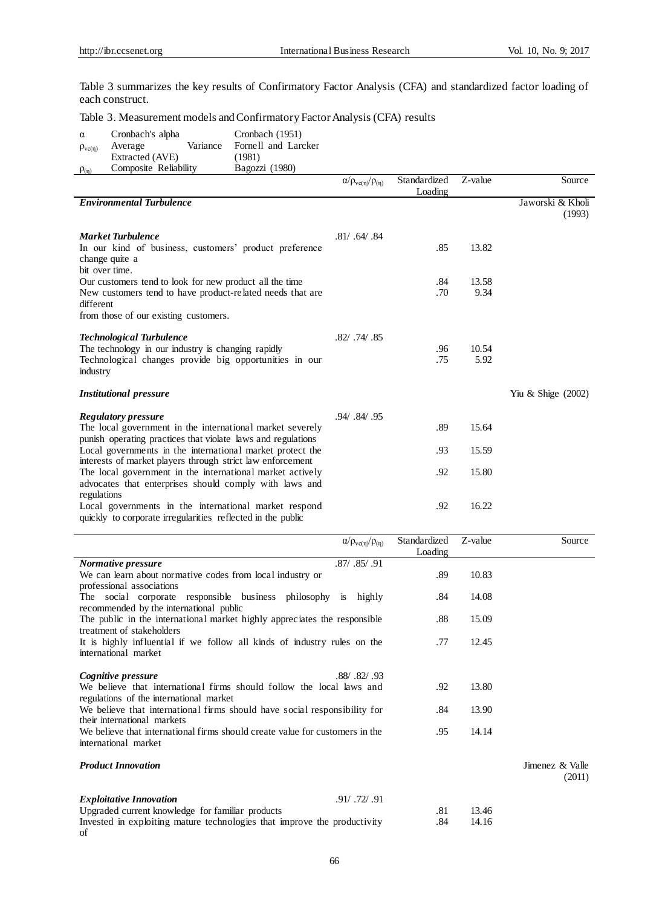Table 3 summarizes the key results of Confirmatory Factor Analysis (CFA) and standardized factor loading of each construct.

Table 3. Measurement models and Confirmatory Factor Analysis (CFA) results

| $\alpha$              | Cronbach's alpha      |                | Cronbach (1951)     |
|-----------------------|-----------------------|----------------|---------------------|
| $P_{\text{VC}}(\eta)$ | Average               | Variance       | Fornell and Larcker |
|                       | Extracted (AVE)       | (1981)         |                     |
| $\rho_{(n)}$          | Composite Reliability | Bagozzi (1980) |                     |

|                                                                                                                                    | $\alpha/\rho_{\rm vc(\eta)}/\rho_{(\eta)}$ | Standardized | Z-value       | Source                     |
|------------------------------------------------------------------------------------------------------------------------------------|--------------------------------------------|--------------|---------------|----------------------------|
| <b>Environmental Turbulence</b>                                                                                                    |                                            | Loading      |               | Jaworski & Kholi<br>(1993) |
| <b>Market Turbulence</b>                                                                                                           | .81/ .64/ .84                              |              |               |                            |
| In our kind of business, customers' product preference<br>change quite a<br>bit over time.                                         |                                            | .85          | 13.82         |                            |
| Our customers tend to look for new product all the time                                                                            |                                            | .84          | 13.58         |                            |
| New customers tend to have product-related needs that are<br>different                                                             |                                            | .70          | 9.34          |                            |
| from those of our existing customers.                                                                                              |                                            |              |               |                            |
| <b>Technological Turbulence</b>                                                                                                    | .82/ .74/ .85                              |              |               |                            |
| The technology in our industry is changing rapidly<br>Technological changes provide big opportunities in our<br>industry           |                                            | .96<br>.75   | 10.54<br>5.92 |                            |
| <b>Institutional pressure</b>                                                                                                      |                                            |              |               | Yiu & Shige $(2002)$       |
| <b>Regulatory pressure</b>                                                                                                         | .94/0.84/0.95                              |              |               |                            |
| The local government in the international market severely<br>punish operating practices that violate laws and regulations          |                                            | .89          | 15.64         |                            |
| Local governments in the international market protect the<br>interests of market players through strict law enforcement            |                                            | .93          | 15.59         |                            |
| The local government in the international market actively<br>advocates that enterprises should comply with laws and<br>regulations |                                            | .92          | 15.80         |                            |
| Local governments in the international market respond<br>quickly to corporate irregularities reflected in the public               |                                            | .92          | 16.22         |                            |

| $\alpha/\rho_{\rm vc(\eta)}/\rho_{\rm (\eta)}$                                                                  | Standardized<br>Loading | Z-value | Source                    |
|-----------------------------------------------------------------------------------------------------------------|-------------------------|---------|---------------------------|
| .87/ .85/ .91<br>Normative pressure                                                                             |                         |         |                           |
| We can learn about normative codes from local industry or<br>professional associations                          | .89                     | 10.83   |                           |
| The social corporate responsible business philosophy is highly<br>recommended by the international public       | .84                     | 14.08   |                           |
| The public in the international market highly appreciates the responsible<br>treatment of stakeholders          | .88                     | 15.09   |                           |
| It is highly influential if we follow all kinds of industry rules on the<br>international market                | .77                     | 12.45   |                           |
| Cognitive pressure<br>.88/ .82/ .93                                                                             |                         |         |                           |
| We believe that international firms should follow the local laws and<br>regulations of the international market | .92                     | 13.80   |                           |
| We believe that international firms should have social responsibility for<br>their international markets        | .84                     | 13.90   |                           |
| We believe that international firms should create value for customers in the<br>international market            | .95                     | 14.14   |                           |
| <b>Product Innovation</b>                                                                                       |                         |         | Jimenez & Valle<br>(2011) |
| <b>Exploitative Innovation</b><br>$.91/$ , 72 $/$ , 91                                                          |                         |         |                           |
| Upgraded current knowledge for familiar products                                                                | .81                     | 13.46   |                           |
| Invested in exploiting mature technologies that improve the productivity                                        | .84                     | 14.16   |                           |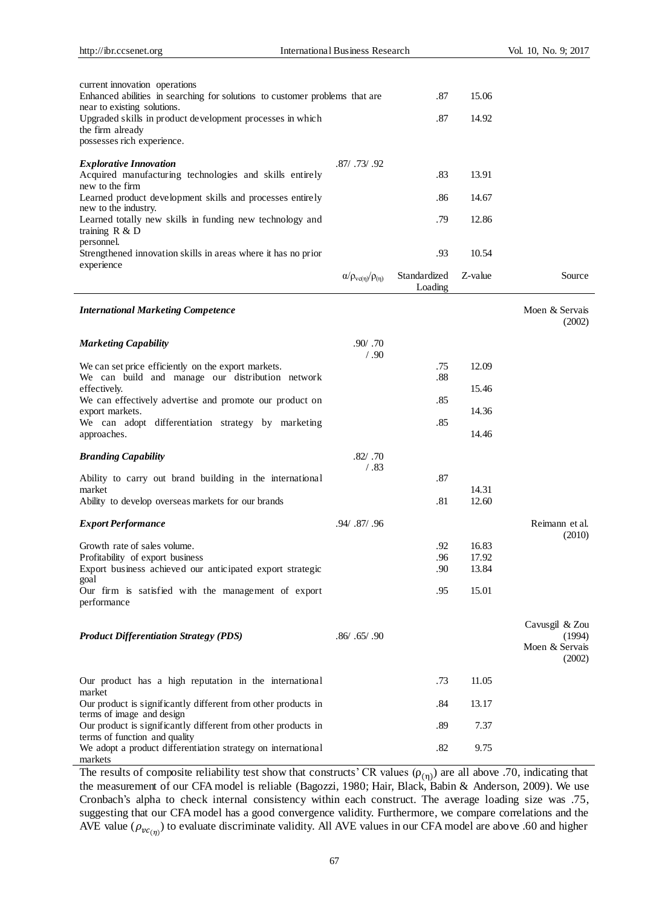| current innovation operations<br>Enhanced abilities in searching for solutions to customer problems that are |                                          | .87                     | 15.06          |                          |
|--------------------------------------------------------------------------------------------------------------|------------------------------------------|-------------------------|----------------|--------------------------|
| near to existing solutions.<br>Upgraded skills in product development processes in which<br>the firm already |                                          | .87                     | 14.92          |                          |
| possesses rich experience.                                                                                   |                                          |                         |                |                          |
| <b>Explorative Innovation</b><br>Acquired manufacturing technologies and skills entirely                     | .87/ .73/ .92                            | .83                     | 13.91          |                          |
| new to the firm<br>Learned product development skills and processes entirely                                 |                                          | .86                     | 14.67          |                          |
| new to the industry.<br>Learned totally new skills in funding new technology and<br>training $R & D$         |                                          | .79                     | 12.86          |                          |
| personnel.<br>Strengthened innovation skills in areas where it has no prior<br>experience                    |                                          | .93                     | 10.54          |                          |
|                                                                                                              | $\alpha/\rho_{\rm vcc} / \rho_{\rm (n)}$ | Standardized<br>Loading | Z-value        | Source                   |
| <b>International Marketing Competence</b>                                                                    |                                          |                         |                | Moen & Servais<br>(2002) |
| <b>Marketing Capability</b>                                                                                  | .90/ .70<br>/ .90                        |                         |                |                          |
| We can set price efficiently on the export markets.<br>We can build and manage our distribution network      |                                          | .75<br>.88              | 12.09          |                          |
| effectively.<br>We can effectively advertise and promote our product on                                      |                                          | .85                     | 15.46          |                          |
| export markets.                                                                                              |                                          | .85                     | 14.36          |                          |
| We can adopt differentiation strategy by marketing<br>approaches.                                            |                                          |                         | 14.46          |                          |
| <b>Branding Capability</b>                                                                                   | .82/ .70                                 |                         |                |                          |
| Ability to carry out brand building in the international                                                     | / .83                                    | .87                     |                |                          |
| market<br>Ability to develop overseas markets for our brands                                                 |                                          | .81                     | 14.31<br>12.60 |                          |
| <b>Export Performance</b>                                                                                    | .94/ .87/ .96                            |                         |                | Reimann et al.           |
| Growth rate of sales volume.                                                                                 |                                          | .92                     | 16.83          | (2010)                   |
| Profitability of export business<br>Export business achieved our anticipated export strategic                |                                          | .96<br>.90              | 17.92<br>13.84 |                          |
| goal<br>Our firm is satisfied with the management of export                                                  |                                          | .95                     | 15.01          |                          |
| performance                                                                                                  |                                          |                         |                |                          |
| <b>Product Differentiation Strategy (PDS)</b>                                                                | .86/ .65/ .90                            |                         |                | Cavusgil & Zou<br>(1994) |
|                                                                                                              |                                          |                         |                | Moen & Servais<br>(2002) |
| Our product has a high reputation in the international<br>market                                             |                                          | .73                     | 11.05          |                          |
| Our product is significantly different from other products in<br>terms of image and design                   |                                          | .84                     | 13.17          |                          |
| Our product is significantly different from other products in                                                |                                          | .89                     | 7.37           |                          |
| terms of function and quality<br>We adopt a product differentiation strategy on international<br>markets     |                                          | .82                     | 9.75           |                          |

The results of composite reliability test show that constructs' CR values  $(\rho_{(n)})$  are all above .70, indicating that the measurement of our CFA model is reliable (Bagozzi, 1980; Hair, Black, Babin & Anderson, 2009). We use Cronbach's alpha to check internal consistency within each construct. The average loading size was .75, suggesting that our CFA model has a good convergence validity. Furthermore, we compare correlations and the AVE value ( $\rho_{vc_{(\eta)}}$ ) to evaluate discriminate validity. All AVE values in our CFA model are above .60 and higher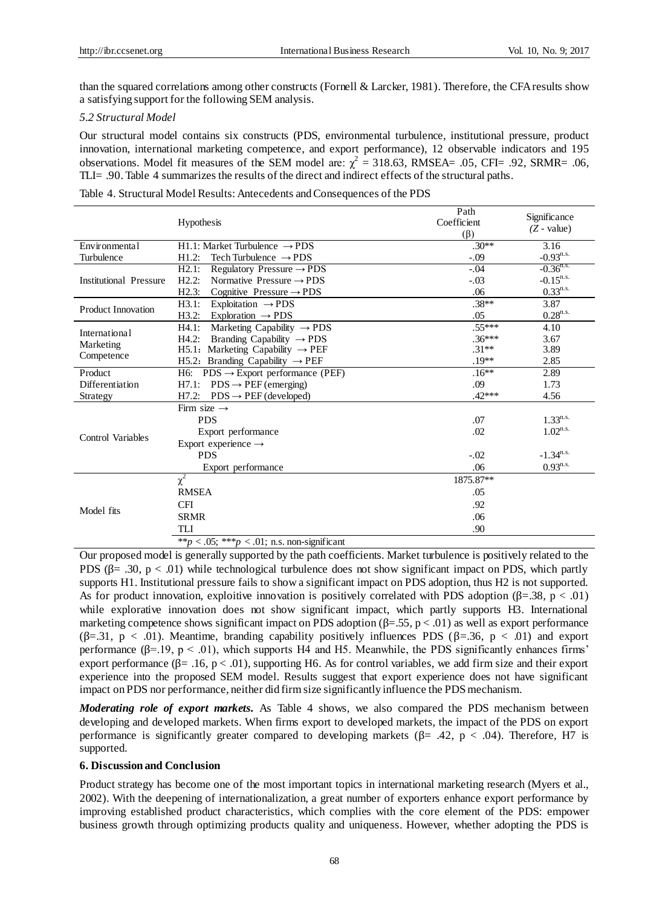than the squared correlations among other constructs (Fornell & Larcker, 1981). Therefore, the CFA results show a satisfying support for the following SEM analysis.

## *5.2 Structural Model*

Our structural model contains six constructs (PDS, environmental turbulence, institutional pressure, product innovation, international marketing competence, and export performance), 12 observable indicators and 195 observations. Model fit measures of the SEM model are:  $\chi^2 = 318.63$ , RMSEA= .05, CFI= .92, SRMR= .06, TLI= .90. Table 4 summarizes the results of the direct and indirect effects of the structural paths.

|  | Table 4. Structural Model Results: Antecedents and Consequences of the PDS |
|--|----------------------------------------------------------------------------|
|  |                                                                            |

|                               | Hypothesis                                       | Path<br>Coefficient<br>$(\beta)$ | Significance<br>$(Z - value)$ |
|-------------------------------|--------------------------------------------------|----------------------------------|-------------------------------|
| Environmental                 | H1.1: Market Turbulence $\rightarrow$ PDS        | $.30**$                          | 3.16                          |
| Turbulence                    | Tech Turbulence $\rightarrow$ PDS<br>$H1.2$ :    | $-.09$                           | $-0.93^{n.s.}$                |
|                               | H2.1:<br>Regulatory Pressure $\rightarrow$ PDS   | $-.04$                           | $-0.36$ <sup>n.s.</sup>       |
| <b>Institutional Pressure</b> | $H2.2$ :<br>Normative Pressure $\rightarrow$ PDS | $-.03$                           | $-0.15^{n.s.}$                |
|                               | $H2.3$ :<br>Cognitive Pressure $\rightarrow$ PDS | .06                              | $0.33^{n.s.}$                 |
| <b>Product Innovation</b>     | H3.1:<br>Exploitation $\rightarrow$ PDS          | $.38**$                          | 3.87                          |
|                               | H3.2:<br>Exploration $\rightarrow$ PDS           | .05                              | $0.28^{\mathrm{n.s.}}$        |
| International                 | Marketing Capability $\rightarrow$ PDS<br>H4.1:  | $.55***$                         | 4.10                          |
|                               | Branding Capability $\rightarrow$ PDS<br>H4.2:   | $.36***$                         | 3.67                          |
| Marketing                     | H5.1: Marketing Capability $\rightarrow$ PEF     | $.31**$                          | 3.89                          |
| Competence                    | H5.2: Branding Capability $\rightarrow$ PEF      | $.19**$                          | 2.85                          |
| Product                       | H6: $PDS \rightarrow Expert$ performance (PEF)   | $.16**$                          | 2.89                          |
| Differentiation               | $H7.1: PDS \rightarrow PEF$ (emerging)           | .09                              | 1.73                          |
| Strategy                      | H7.2:<br>$PDS \rightarrow PEF$ (developed)       | $.42***$                         | 4.56                          |
|                               | Firm size $\rightarrow$                          |                                  |                               |
|                               | <b>PDS</b>                                       | .07                              | $1.33^{n.s.}$                 |
|                               | Export performance                               | .02                              | $1.02^{n.s.}$                 |
| Control Variables             | Export experience $\rightarrow$                  |                                  |                               |
|                               | <b>PDS</b>                                       | $-.02$                           | $-1.34$ <sup>n.s.</sup>       |
|                               | Export performance                               | .06                              | $0.93^{n.s.}$                 |
|                               | $\chi^2$                                         | 1875.87**                        |                               |
|                               | <b>RMSEA</b>                                     | .05                              |                               |
|                               | <b>CFI</b>                                       | .92                              |                               |
| Model fits                    | <b>SRMR</b>                                      | .06                              |                               |
|                               | TLI                                              | .90                              |                               |
|                               | **p < .05; ***p < .01; n.s. non-significant      |                                  |                               |

Our proposed model is generally supported by the path coefficients. Market turbulence is positively related to the PDS ( $\beta$ = .30, p < .01) while technological turbulence does not show significant impact on PDS, which partly supports H1. Institutional pressure fails to show a significant impact on PDS adoption, thus H2 is not supported. As for product innovation, exploitive innovation is positively correlated with PDS adoption ( $\beta$ =.38, p < .01) while explorative innovation does not show significant impact, which partly supports H3. International marketing competence shows significant impact on PDS adoption  $(\beta = .55, p < .01)$  as well as export performance (β=.31, p < .01). Meantime, branding capability positively influences PDS (β=.36, p < .01) and export performance  $(6=19, p \le 01)$ , which supports H4 and H5. Meanwhile, the PDS significantly enhances firms' export performance ( $\beta$ = .16, p < .01), supporting H6. As for control variables, we add firm size and their export experience into the proposed SEM model. Results suggest that export experience does not have significant impact on PDS nor performance, neither did firm size significantly influence the PDS mechanism.

*Moderating role of export markets.* As Table 4 shows, we also compared the PDS mechanism between developing and developed markets. When firms export to developed markets, the impact of the PDS on export performance is significantly greater compared to developing markets ( $\beta$ = .42, p < .04). Therefore, H7 is supported.

#### **6. Discussion and Conclusion**

Product strategy has become one of the most important topics in international marketing research (Myers et al., 2002). With the deepening of internationalization, a great number of exporters enhance export performance by improving established product characteristics, which complies with the core element of the PDS: empower business growth through optimizing products quality and uniqueness. However, whether adopting the PDS is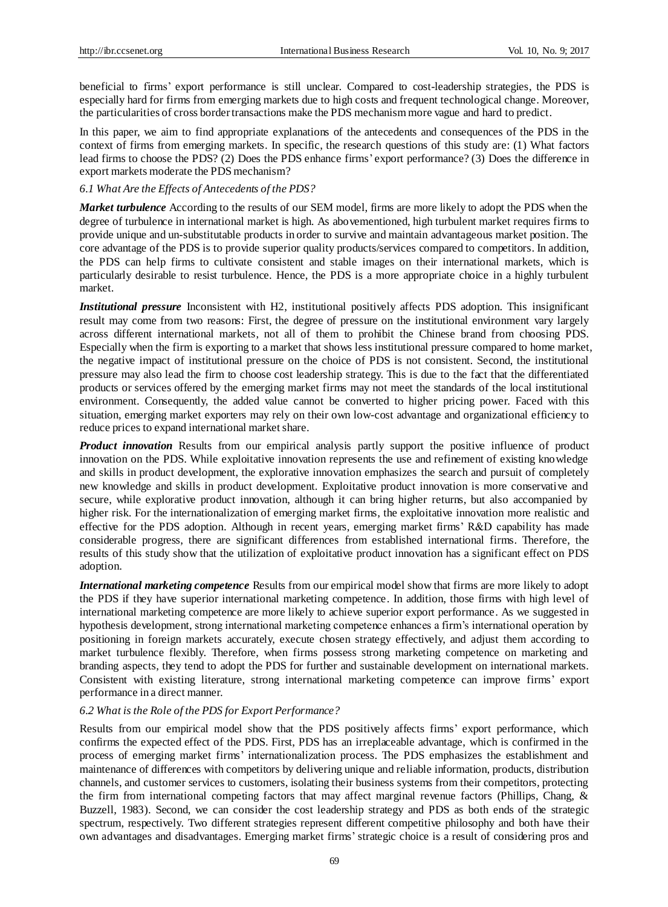beneficial to firms' export performance is still unclear. Compared to cost-leadership strategies, the PDS is especially hard for firms from emerging markets due to high costs and frequent technological change. Moreover, the particularities of cross border transactions make the PDS mechanism more vague and hard to predict.

In this paper, we aim to find appropriate explanations of the antecedents and consequences of the PDS in the context of firms from emerging markets. In specific, the research questions of this study are: (1) What factors lead firms to choose the PDS? (2) Does the PDS enhance firms' export performance? (3) Does the difference in export markets moderate the PDS mechanism?

#### *6.1 What Are the Effects of Antecedents of the PDS?*

*Market turbulence* According to the results of our SEM model, firms are more likely to adopt the PDS when the degree of turbulence in international market is high. As abovementioned, high turbulent market requires firms to provide unique and un-substitutable products in order to survive and maintain advantageous market position. The core advantage of the PDS is to provide superior quality products/services compared to competitors. In addition, the PDS can help firms to cultivate consistent and stable images on their international markets, which is particularly desirable to resist turbulence. Hence, the PDS is a more appropriate choice in a highly turbulent market.

*Institutional pressure* Inconsistent with H2, institutional positively affects PDS adoption. This insignificant result may come from two reasons: First, the degree of pressure on the institutional environment vary largely across different international markets, not all of them to prohibit the Chinese brand from choosing PDS. Especially when the firm is exporting to a market that shows less institutional pressure compared to home market, the negative impact of institutional pressure on the choice of PDS is not consistent. Second, the institutional pressure may also lead the firm to choose cost leadership strategy. This is due to the fact that the differentiated products or services offered by the emerging market firms may not meet the standards of the local institutional environment. Consequently, the added value cannot be converted to higher pricing power. Faced with this situation, emerging market exporters may rely on their own low-cost advantage and organizational efficiency to reduce prices to expand international market share.

*Product innovation* Results from our empirical analysis partly support the positive influence of product innovation on the PDS. While exploitative innovation represents the use and refinement of existing knowledge and skills in product development, the explorative innovation emphasizes the search and pursuit of completely new knowledge and skills in product development. Exploitative product innovation is more conservative and secure, while explorative product innovation, although it can bring higher returns, but also accompanied by higher risk. For the internationalization of emerging market firms, the exploitative innovation more realistic and effective for the PDS adoption. Although in recent years, emerging market firms' R&D capability has made considerable progress, there are significant differences from established international firms. Therefore, the results of this study show that the utilization of exploitative product innovation has a significant effect on PDS adoption.

*International marketing competence* Results from our empirical model show that firms are more likely to adopt the PDS if they have superior international marketing competence. In addition, those firms with high level of international marketing competence are more likely to achieve superior export performance. As we suggested in hypothesis development, strong international marketing competence enhances a firm's international operation by positioning in foreign markets accurately, execute chosen strategy effectively, and adjust them according to market turbulence flexibly. Therefore, when firms possess strong marketing competence on marketing and branding aspects, they tend to adopt the PDS for further and sustainable development on international markets. Consistent with existing literature, strong international marketing competence can improve firms' export performance in a direct manner.

#### *6.2 What is the Role of the PDS for Export Performance?*

Results from our empirical model show that the PDS positively affects firms' export performance, which confirms the expected effect of the PDS. First, PDS has an irreplaceable advantage, which is confirmed in the process of emerging market firms' internationalization process. The PDS emphasizes the establishment and maintenance of differences with competitors by delivering unique and reliable information, products, distribution channels, and customer services to customers, isolating their business systems from their competitors, protecting the firm from international competing factors that may affect marginal revenue factors (Phillips, Chang, & Buzzell, 1983). Second, we can consider the cost leadership strategy and PDS as both ends of the strategic spectrum, respectively. Two different strategies represent different competitive philosophy and both have their own advantages and disadvantages. Emerging market firms' strategic choice is a result of considering pros and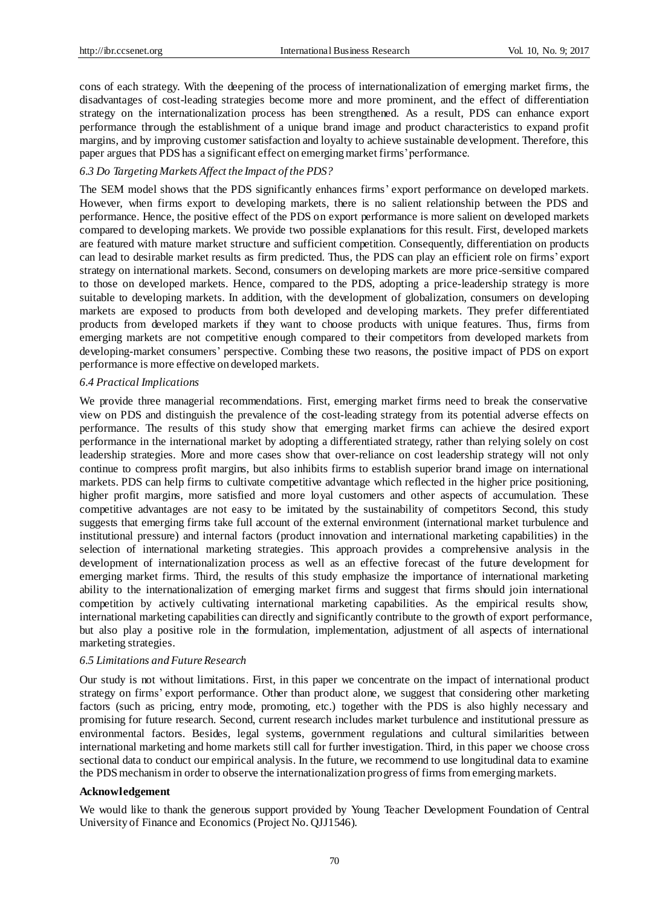cons of each strategy. With the deepening of the process of internationalization of emerging market firms, the disadvantages of cost-leading strategies become more and more prominent, and the effect of differentiation strategy on the internationalization process has been strengthened. As a result, PDS can enhance export performance through the establishment of a unique brand image and product characteristics to expand profit margins, and by improving customer satisfaction and loyalty to achieve sustainable development. Therefore, this paper argues that PDS has a significant effect on emerging market firms' performance.

## *6.3 Do Targeting Markets Affect the Impact of the PDS?*

The SEM model shows that the PDS significantly enhances firms' export performance on developed markets. However, when firms export to developing markets, there is no salient relationship between the PDS and performance. Hence, the positive effect of the PDS on export performance is more salient on developed markets compared to developing markets. We provide two possible explanations for this result. First, developed markets are featured with mature market structure and sufficient competition. Consequently, differentiation on products can lead to desirable market results as firm predicted. Thus, the PDS can play an efficient role on firms' export strategy on international markets. Second, consumers on developing markets are more price-sensitive compared to those on developed markets. Hence, compared to the PDS, adopting a price-leadership strategy is more suitable to developing markets. In addition, with the development of globalization, consumers on developing markets are exposed to products from both developed and developing markets. They prefer differentiated products from developed markets if they want to choose products with unique features. Thus, firms from emerging markets are not competitive enough compared to their competitors from developed markets from developing-market consumers' perspective. Combing these two reasons, the positive impact of PDS on export performance is more effective on developed markets.

#### *6.4 Practical Implications*

We provide three managerial recommendations. First, emerging market firms need to break the conservative view on PDS and distinguish the prevalence of the cost-leading strategy from its potential adverse effects on performance. The results of this study show that emerging market firms can achieve the desired export performance in the international market by adopting a differentiated strategy, rather than relying solely on cost leadership strategies. More and more cases show that over-reliance on cost leadership strategy will not only continue to compress profit margins, but also inhibits firms to establish superior brand image on international markets. PDS can help firms to cultivate competitive advantage which reflected in the higher price positioning, higher profit margins, more satisfied and more loyal customers and other aspects of accumulation. These competitive advantages are not easy to be imitated by the sustainability of competitors Second, this study suggests that emerging firms take full account of the external environment (international market turbulence and institutional pressure) and internal factors (product innovation and international marketing capabilities) in the selection of international marketing strategies. This approach provides a comprehensive analysis in the development of internationalization process as well as an effective forecast of the future development for emerging market firms. Third, the results of this study emphasize the importance of international marketing ability to the internationalization of emerging market firms and suggest that firms should join international competition by actively cultivating international marketing capabilities. As the empirical results show, international marketing capabilities can directly and significantly contribute to the growth of export performance, but also play a positive role in the formulation, implementation, adjustment of all aspects of international marketing strategies.

## *6.5 Limitations and Future Research*

Our study is not without limitations. First, in this paper we concentrate on the impact of international product strategy on firms' export performance. Other than product alone, we suggest that considering other marketing factors (such as pricing, entry mode, promoting, etc.) together with the PDS is also highly necessary and promising for future research. Second, current research includes market turbulence and institutional pressure as environmental factors. Besides, legal systems, government regulations and cultural similarities between international marketing and home markets still call for further investigation. Third, in this paper we choose cross sectional data to conduct our empirical analysis. In the future, we recommend to use longitudinal data to examine the PDS mechanism in order to observe the internationalization progress of firms from emerging markets.

#### **Acknowledgement**

We would like to thank the generous support provided by Young Teacher Development Foundation of Central University of Finance and Economics (Project No. QJJ1546).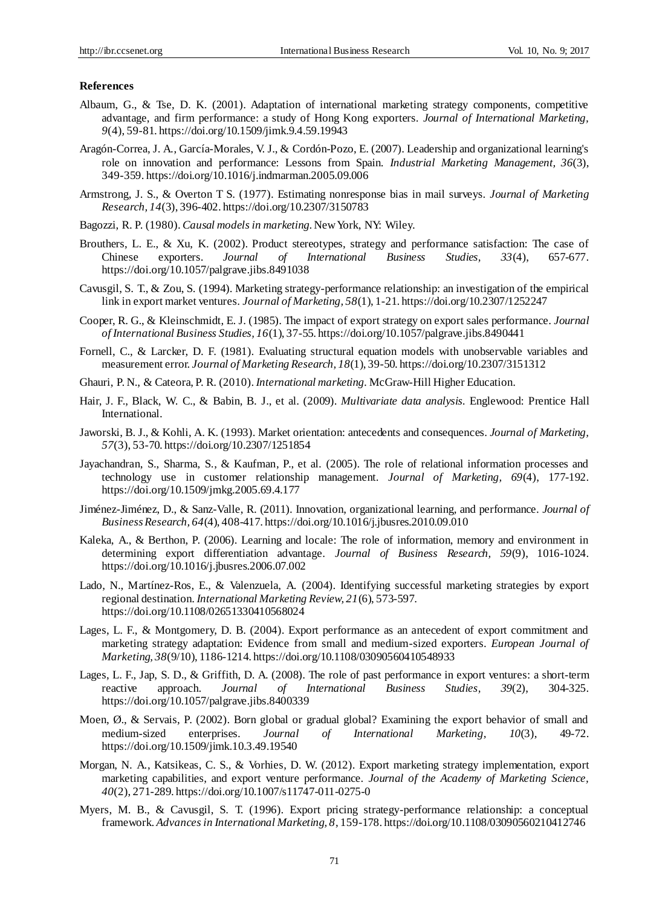### **References**

- Albaum, G., & Tse, D. K. (2001). Adaptation of international marketing strategy components, competitive advantage, and firm performance: a study of Hong Kong exporters. *Journal of International Marketing, 9*(4), 59-81. https://doi.org/10.1509/jimk.9.4.59.19943
- Aragón-Correa, J. A., Garc ía-Morales, V. J., & Cordón-Pozo, E. (2007). Leadership and organizational learning's role on innovation and performance: Lessons from Spain. *Industrial Marketing Management, 36*(3), 349-359. https://doi.org/10.1016/j.indmarman.2005.09.006
- Armstrong, J. S., & Overton T S. (1977). Estimating nonresponse bias in mail surveys. *Journal of Marketing Research, 14*(3), 396-402. https://doi.org/10.2307/3150783
- Bagozzi, R. P. (1980). *Causal models in marketing*. New York, NY: Wiley.
- Brouthers, L. E., & Xu, K. (2002). Product stereotypes, strategy and performance satisfaction: The case of Chinese exporters. *Journal of International Business Studies, 33*(4), 657-677. https://doi.org/10.1057/palgrave.jibs.8491038
- Cavusgil, S. T., & Zou, S. (1994). Marketing strategy-performance relationship: an investigation of the empirical link in export market ventures. *Journal of Marketing, 58*(1), 1-21. https://doi.org/10.2307/1252247
- Cooper, R. G., & Kleinschmidt, E. J. (1985). The impact of export strategy on export sales performance. *Journal of International Business Studies, 16*(1), 37-55. https://doi.org/10.1057/palgrave.jibs.8490441
- Fornell, C., & Larcker, D. F. (1981). Evaluating structural equation models with unobservable variables and measurement error. *Journal of Marketing Research, 18*(1), 39-50. https://doi.org/10.2307/3151312
- Ghauri, P. N., & Cateora, P. R. (2010). *International marketing.* McGraw-Hill Higher Education.
- Hair, J. F., Black, W. C., & Babin, B. J., et al. (2009). *Multivariate data analysis.* Englewood: Prentice Hall International.
- Jaworski, B. J., & Kohli, A. K. (1993). Market orientation: antecedents and consequences. *Journal of Marketing, 57*(3), 53-70. https://doi.org/10.2307/1251854
- Jayachandran, S., Sharma, S., & Kaufman, P., et al. (2005). The role of relational information processes and technology use in customer relationship management. *Journal of Marketing, 69*(4), 177-192. https://doi.org/10.1509/jmkg.2005.69.4.177
- Jiménez-Jiménez, D., & Sanz-Valle, R. (2011). Innovation, organizational learning, and performance. *Journal of Business Research, 64*(4), 408-417. https://doi.org/10.1016/j.jbusres.2010.09.010
- Kaleka, A., & Berthon, P. (2006). Learning and locale: The role of information, memory and environment in determining export differentiation advantage. *Journal of Business Research, 59*(9), 1016-1024. https://doi.org/10.1016/j.jbusres.2006.07.002
- Lado, N., Mart ínez-Ros, E., & Valenzuela, A. (2004). Identifying successful marketing strategies by export regional destination. *International Marketing Review, 21*(6), 573-597. https://doi.org/10.1108/02651330410568024
- Lages, L. F., & Montgomery, D. B. (2004). Export performance as an antecedent of export commitment and marketing strategy adaptation: Evidence from small and medium-sized exporters. *European Journal of Marketing, 38*(9/10), 1186-1214. https://doi.org/10.1108/03090560410548933
- Lages, L. F., Jap, S. D., & Griffith, D. A. (2008). The role of past performance in export ventures: a short-term reactive approach. *Journal of International Business Studies, 39*(2), 304-325. https://doi.org/10.1057/palgrave.jibs.8400339
- Moen, Ø., & Servais, P. (2002). Born global or gradual global? Examining the export behavior of small and medium-sized enterprises. *Journal of International Marketing, 10*(3), 49-72. https://doi.org/10.1509/jimk.10.3.49.19540
- Morgan, N. A., Katsikeas, C. S., & Vorhies, D. W. (2012). Export marketing strategy implementation, export marketing capabilities, and export venture performance. *Journal of the Academy of Marketing Science, 40*(2), 271-289. https://doi.org/10.1007/s11747-011-0275-0
- Myers, M. B., & Cavusgil, S. T. (1996). Export pricing strategy-performance relationship: a conceptual framework. *Advances in International Marketing, 8*, 159-178. https://doi.org/10.1108/03090560210412746